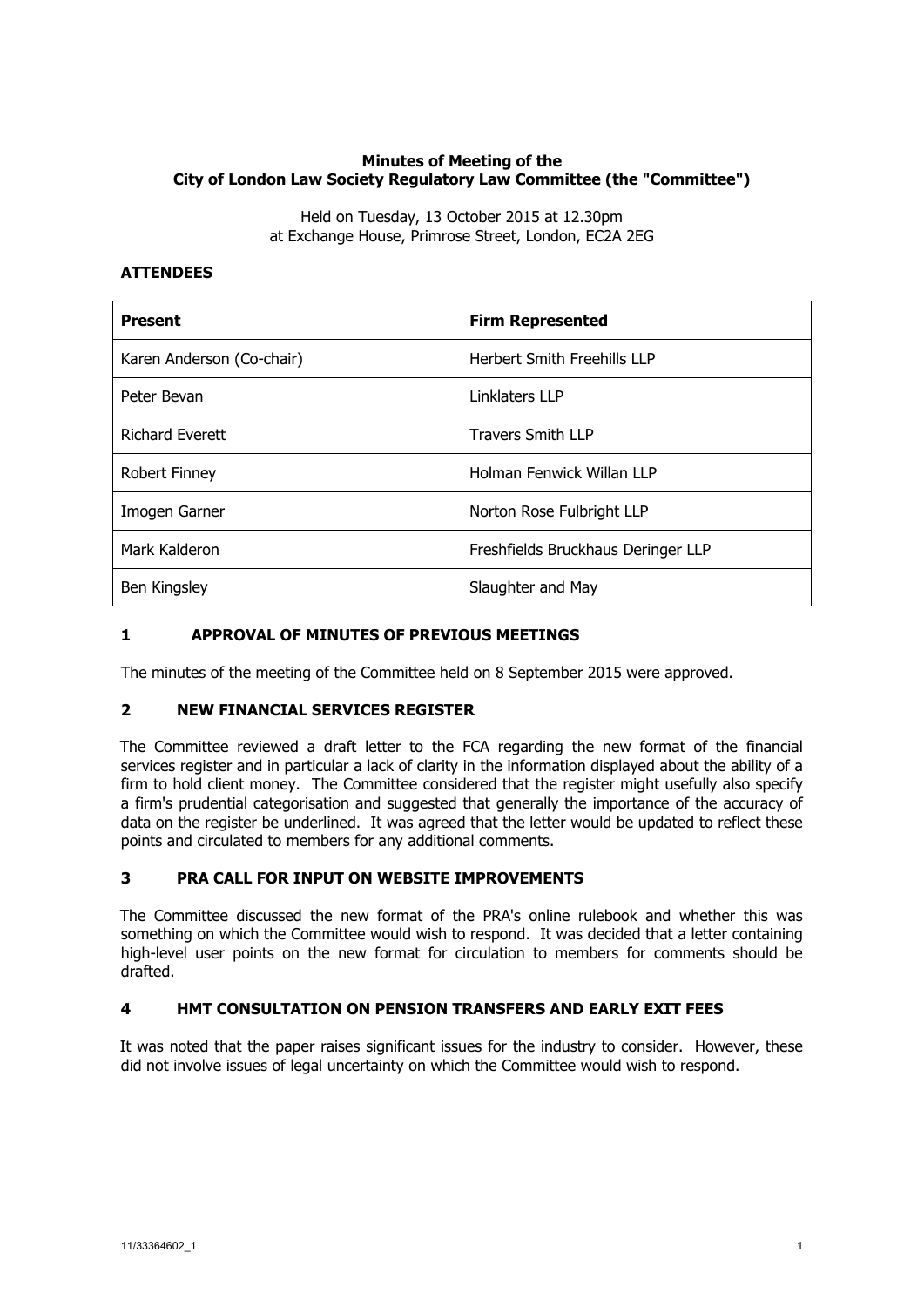### **Minutes of Meeting of the City of London Law Society Regulatory Law Committee (the "Committee")**

Held on Tuesday, 13 October 2015 at 12.30pm at Exchange House, Primrose Street, London, EC2A 2EG

### **ATTENDEES**

| <b>Present</b>            | <b>Firm Represented</b>            |
|---------------------------|------------------------------------|
| Karen Anderson (Co-chair) | <b>Herbert Smith Freehills LLP</b> |
| Peter Bevan               | Linklaters LLP                     |
| <b>Richard Everett</b>    | <b>Travers Smith LLP</b>           |
| <b>Robert Finney</b>      | Holman Fenwick Willan LLP          |
| Imogen Garner             | Norton Rose Fulbright LLP          |
| Mark Kalderon             | Freshfields Bruckhaus Deringer LLP |
| Ben Kingsley              | Slaughter and May                  |

## **1 APPROVAL OF MINUTES OF PREVIOUS MEETINGS**

The minutes of the meeting of the Committee held on 8 September 2015 were approved.

### **2 NEW FINANCIAL SERVICES REGISTER**

The Committee reviewed a draft letter to the FCA regarding the new format of the financial services register and in particular a lack of clarity in the information displayed about the ability of a firm to hold client money. The Committee considered that the register might usefully also specify a firm's prudential categorisation and suggested that generally the importance of the accuracy of data on the register be underlined. It was agreed that the letter would be updated to reflect these points and circulated to members for any additional comments.

### **3 PRA CALL FOR INPUT ON WEBSITE IMPROVEMENTS**

The Committee discussed the new format of the PRA's online rulebook and whether this was something on which the Committee would wish to respond. It was decided that a letter containing high-level user points on the new format for circulation to members for comments should be drafted.

### **4 HMT CONSULTATION ON PENSION TRANSFERS AND EARLY EXIT FEES**

It was noted that the paper raises significant issues for the industry to consider. However, these did not involve issues of legal uncertainty on which the Committee would wish to respond.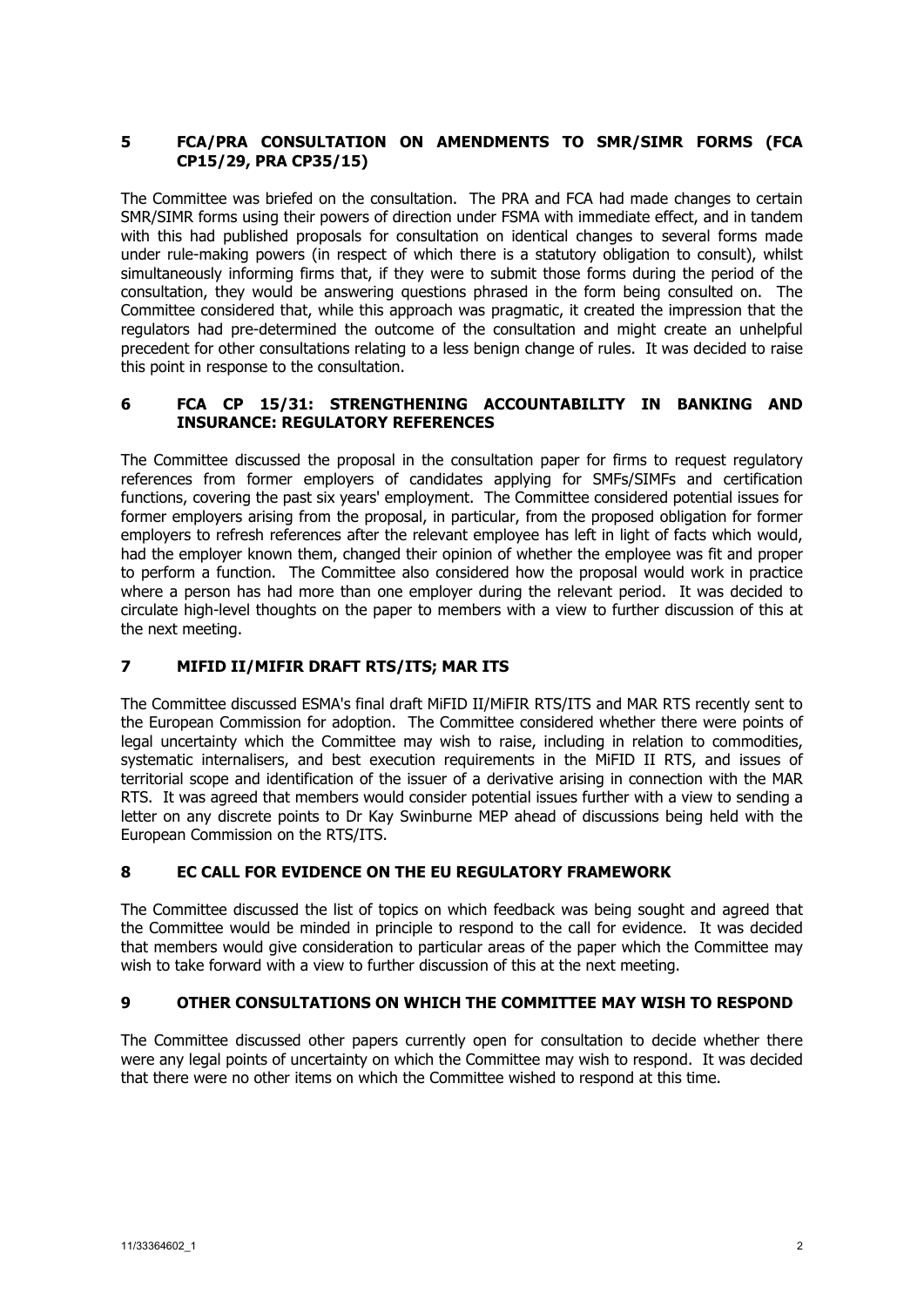## **5 FCA/PRA CONSULTATION ON AMENDMENTS TO SMR/SIMR FORMS (FCA CP15/29, PRA CP35/15)**

The Committee was briefed on the consultation. The PRA and FCA had made changes to certain SMR/SIMR forms using their powers of direction under FSMA with immediate effect, and in tandem with this had published proposals for consultation on identical changes to several forms made under rule-making powers (in respect of which there is a statutory obligation to consult), whilst simultaneously informing firms that, if they were to submit those forms during the period of the consultation, they would be answering questions phrased in the form being consulted on. The Committee considered that, while this approach was pragmatic, it created the impression that the regulators had pre-determined the outcome of the consultation and might create an unhelpful precedent for other consultations relating to a less benign change of rules. It was decided to raise this point in response to the consultation.

### **6 FCA CP 15/31: STRENGTHENING ACCOUNTABILITY IN BANKING AND INSURANCE: REGULATORY REFERENCES**

The Committee discussed the proposal in the consultation paper for firms to request regulatory references from former employers of candidates applying for SMFs/SIMFs and certification functions, covering the past six years' employment. The Committee considered potential issues for former employers arising from the proposal, in particular, from the proposed obligation for former employers to refresh references after the relevant employee has left in light of facts which would, had the employer known them, changed their opinion of whether the employee was fit and proper to perform a function. The Committee also considered how the proposal would work in practice where a person has had more than one employer during the relevant period. It was decided to circulate high-level thoughts on the paper to members with a view to further discussion of this at the next meeting.

# **7 MIFID II/MIFIR DRAFT RTS/ITS; MAR ITS**

The Committee discussed ESMA's final draft MiFID II/MiFIR RTS/ITS and MAR RTS recently sent to the European Commission for adoption. The Committee considered whether there were points of legal uncertainty which the Committee may wish to raise, including in relation to commodities, systematic internalisers, and best execution requirements in the MiFID II RTS, and issues of territorial scope and identification of the issuer of a derivative arising in connection with the MAR RTS. It was agreed that members would consider potential issues further with a view to sending a letter on any discrete points to Dr Kay Swinburne MEP ahead of discussions being held with the European Commission on the RTS/ITS.

# **8 EC CALL FOR EVIDENCE ON THE EU REGULATORY FRAMEWORK**

The Committee discussed the list of topics on which feedback was being sought and agreed that the Committee would be minded in principle to respond to the call for evidence. It was decided that members would give consideration to particular areas of the paper which the Committee may wish to take forward with a view to further discussion of this at the next meeting.

### **9 OTHER CONSULTATIONS ON WHICH THE COMMITTEE MAY WISH TO RESPOND**

The Committee discussed other papers currently open for consultation to decide whether there were any legal points of uncertainty on which the Committee may wish to respond. It was decided that there were no other items on which the Committee wished to respond at this time.